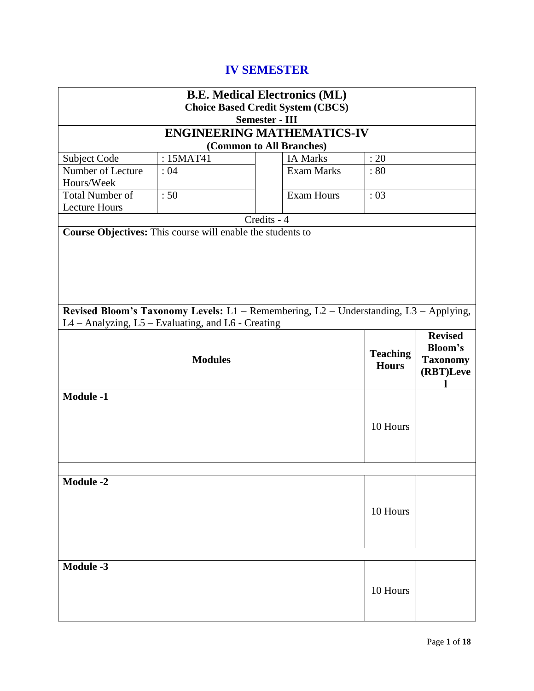# **IV SEMESTER**

|                                                                                                                                             | <b>B.E. Medical Electronics (ML)</b>     |             |                                   |                                 |                                                                       |  |
|---------------------------------------------------------------------------------------------------------------------------------------------|------------------------------------------|-------------|-----------------------------------|---------------------------------|-----------------------------------------------------------------------|--|
|                                                                                                                                             | <b>Choice Based Credit System (CBCS)</b> |             |                                   |                                 |                                                                       |  |
|                                                                                                                                             | <b>Semester - III</b>                    |             |                                   |                                 |                                                                       |  |
|                                                                                                                                             |                                          |             | <b>ENGINEERING MATHEMATICS-IV</b> |                                 |                                                                       |  |
| (Common to All Branches)                                                                                                                    |                                          |             |                                   |                                 |                                                                       |  |
| Subject Code                                                                                                                                | : 15MAT41                                |             | <b>IA Marks</b>                   | : 20                            |                                                                       |  |
| Number of Lecture<br>Hours/Week                                                                                                             | :04                                      |             | <b>Exam Marks</b>                 | :80                             |                                                                       |  |
| <b>Total Number of</b>                                                                                                                      | :50                                      |             | <b>Exam Hours</b>                 | :03                             |                                                                       |  |
| <b>Lecture Hours</b>                                                                                                                        |                                          | Credits - 4 |                                   |                                 |                                                                       |  |
| Course Objectives: This course will enable the students to                                                                                  |                                          |             |                                   |                                 |                                                                       |  |
|                                                                                                                                             |                                          |             |                                   |                                 |                                                                       |  |
| Revised Bloom's Taxonomy Levels: L1 - Remembering, L2 - Understanding, L3 - Applying,<br>L4 - Analyzing, L5 - Evaluating, and L6 - Creating |                                          |             |                                   |                                 |                                                                       |  |
|                                                                                                                                             | <b>Modules</b>                           |             |                                   | <b>Teaching</b><br><b>Hours</b> | <b>Revised</b><br><b>Bloom's</b><br><b>Taxonomy</b><br>(RBT)Leve<br>L |  |
| <b>Module -1</b>                                                                                                                            |                                          |             |                                   | 10 Hours                        |                                                                       |  |
|                                                                                                                                             |                                          |             |                                   |                                 |                                                                       |  |
| <b>Module -2</b><br>10 Hours                                                                                                                |                                          |             |                                   |                                 |                                                                       |  |
|                                                                                                                                             |                                          |             |                                   |                                 |                                                                       |  |
| <b>Module -3</b>                                                                                                                            |                                          |             |                                   | 10 Hours                        |                                                                       |  |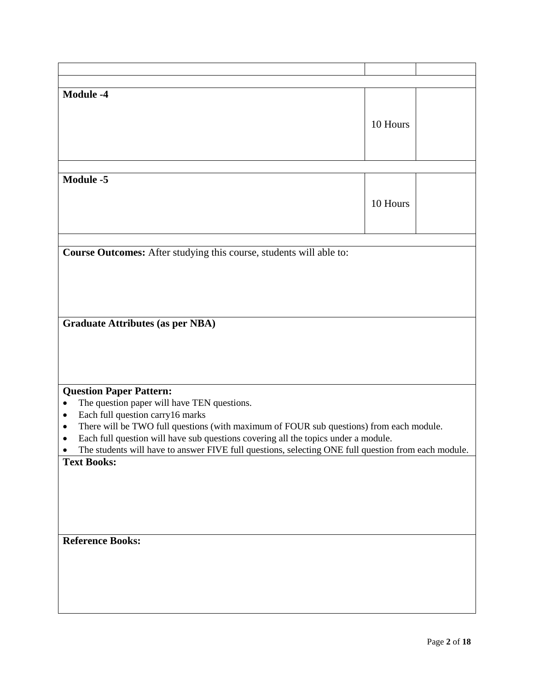| <b>Module -4</b>                                                                                     |          |  |
|------------------------------------------------------------------------------------------------------|----------|--|
|                                                                                                      |          |  |
|                                                                                                      | 10 Hours |  |
|                                                                                                      |          |  |
|                                                                                                      |          |  |
|                                                                                                      |          |  |
|                                                                                                      |          |  |
| <b>Module -5</b>                                                                                     |          |  |
|                                                                                                      |          |  |
|                                                                                                      | 10 Hours |  |
|                                                                                                      |          |  |
|                                                                                                      |          |  |
|                                                                                                      |          |  |
|                                                                                                      |          |  |
| Course Outcomes: After studying this course, students will able to:                                  |          |  |
|                                                                                                      |          |  |
|                                                                                                      |          |  |
|                                                                                                      |          |  |
|                                                                                                      |          |  |
|                                                                                                      |          |  |
| <b>Graduate Attributes (as per NBA)</b>                                                              |          |  |
|                                                                                                      |          |  |
|                                                                                                      |          |  |
|                                                                                                      |          |  |
|                                                                                                      |          |  |
|                                                                                                      |          |  |
| <b>Question Paper Pattern:</b>                                                                       |          |  |
| The question paper will have TEN questions.<br>$\bullet$                                             |          |  |
| Each full question carry16 marks<br>$\bullet$                                                        |          |  |
|                                                                                                      |          |  |
| There will be TWO full questions (with maximum of FOUR sub questions) from each module.<br>$\bullet$ |          |  |
| Each full question will have sub questions covering all the topics under a module.<br>٠              |          |  |
| The students will have to answer FIVE full questions, selecting ONE full question from each module.  |          |  |
| <b>Text Books:</b>                                                                                   |          |  |
|                                                                                                      |          |  |
|                                                                                                      |          |  |
|                                                                                                      |          |  |
|                                                                                                      |          |  |
|                                                                                                      |          |  |
|                                                                                                      |          |  |
| <b>Reference Books:</b>                                                                              |          |  |
|                                                                                                      |          |  |
|                                                                                                      |          |  |
|                                                                                                      |          |  |
|                                                                                                      |          |  |
|                                                                                                      |          |  |
|                                                                                                      |          |  |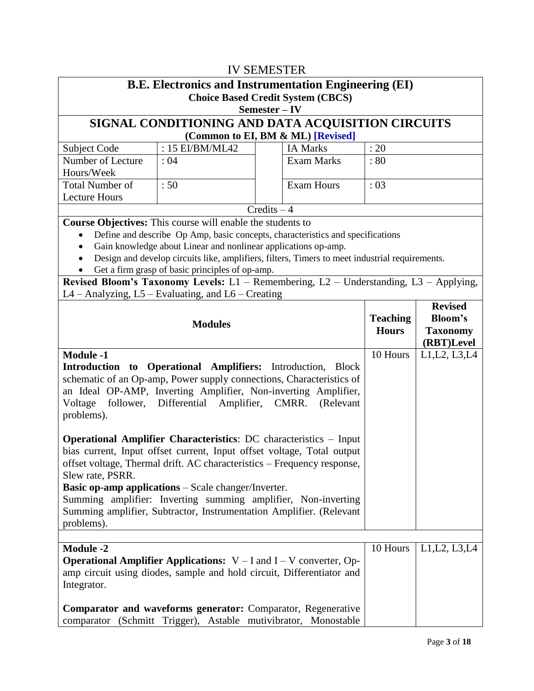| <b>IV SEMESTER</b>                                                                                                                                                                                                                                                                                                                                                                                                                                                    |                                                                                                                                                        |               |                                   |                 |                               |  |
|-----------------------------------------------------------------------------------------------------------------------------------------------------------------------------------------------------------------------------------------------------------------------------------------------------------------------------------------------------------------------------------------------------------------------------------------------------------------------|--------------------------------------------------------------------------------------------------------------------------------------------------------|---------------|-----------------------------------|-----------------|-------------------------------|--|
|                                                                                                                                                                                                                                                                                                                                                                                                                                                                       | <b>B.E. Electronics and Instrumentation Engineering (EI)</b><br><b>Choice Based Credit System (CBCS)</b><br>Semester – IV                              |               |                                   |                 |                               |  |
|                                                                                                                                                                                                                                                                                                                                                                                                                                                                       |                                                                                                                                                        |               |                                   |                 |                               |  |
|                                                                                                                                                                                                                                                                                                                                                                                                                                                                       | SIGNAL CONDITIONING AND DATA ACQUISITION CIRCUITS                                                                                                      |               | (Common to EI, BM & ML) [Revised] |                 |                               |  |
| Subject Code                                                                                                                                                                                                                                                                                                                                                                                                                                                          | : 15 EI/BM/ML42                                                                                                                                        |               | <b>IA Marks</b>                   | : 20            |                               |  |
| Number of Lecture                                                                                                                                                                                                                                                                                                                                                                                                                                                     | : 04                                                                                                                                                   |               | <b>Exam Marks</b>                 | : 80            |                               |  |
| Hours/Week<br><b>Total Number of</b>                                                                                                                                                                                                                                                                                                                                                                                                                                  | :50                                                                                                                                                    |               | <b>Exam Hours</b>                 | : 03            |                               |  |
| <b>Lecture Hours</b>                                                                                                                                                                                                                                                                                                                                                                                                                                                  |                                                                                                                                                        |               |                                   |                 |                               |  |
|                                                                                                                                                                                                                                                                                                                                                                                                                                                                       |                                                                                                                                                        | $Credits - 4$ |                                   |                 |                               |  |
|                                                                                                                                                                                                                                                                                                                                                                                                                                                                       | <b>Course Objectives:</b> This course will enable the students to                                                                                      |               |                                   |                 |                               |  |
|                                                                                                                                                                                                                                                                                                                                                                                                                                                                       | Define and describe Op Amp, basic concepts, characteristics and specifications                                                                         |               |                                   |                 |                               |  |
|                                                                                                                                                                                                                                                                                                                                                                                                                                                                       | Gain knowledge about Linear and nonlinear applications op-amp.                                                                                         |               |                                   |                 |                               |  |
|                                                                                                                                                                                                                                                                                                                                                                                                                                                                       | Design and develop circuits like, amplifiers, filters, Timers to meet industrial requirements.                                                         |               |                                   |                 |                               |  |
|                                                                                                                                                                                                                                                                                                                                                                                                                                                                       | Get a firm grasp of basic principles of op-amp.<br>Revised Bloom's Taxonomy Levels: $L1$ – Remembering, $L2$ – Understanding, $L3$ – Applying,         |               |                                   |                 |                               |  |
|                                                                                                                                                                                                                                                                                                                                                                                                                                                                       | $L4 -$ Analyzing, $L5 -$ Evaluating, and $L6 -$ Creating                                                                                               |               |                                   |                 |                               |  |
|                                                                                                                                                                                                                                                                                                                                                                                                                                                                       | <b>Modules</b>                                                                                                                                         |               |                                   | <b>Teaching</b> | <b>Revised</b><br>Bloom's     |  |
|                                                                                                                                                                                                                                                                                                                                                                                                                                                                       |                                                                                                                                                        |               |                                   | <b>Hours</b>    | <b>Taxonomy</b><br>(RBT)Level |  |
| <b>Module -1</b><br>Introduction to Operational Amplifiers: Introduction, Block<br>schematic of an Op-amp, Power supply connections, Characteristics of<br>an Ideal OP-AMP, Inverting Amplifier, Non-inverting Amplifier,<br>follower, Differential Amplifier, CMRR.<br>Voltage<br>(Relevant<br>problems).                                                                                                                                                            |                                                                                                                                                        |               |                                   | 10 Hours        | L1, L2, L3, L4                |  |
| <b>Operational Amplifier Characteristics: DC</b> characteristics - Input<br>bias current, Input offset current, Input offset voltage, Total output<br>offset voltage, Thermal drift. AC characteristics - Frequency response,<br>Slew rate, PSRR.<br><b>Basic op-amp applications</b> – Scale changer/Inverter.<br>Summing amplifier: Inverting summing amplifier, Non-inverting<br>Summing amplifier, Subtractor, Instrumentation Amplifier. (Relevant<br>problems). |                                                                                                                                                        |               |                                   |                 |                               |  |
|                                                                                                                                                                                                                                                                                                                                                                                                                                                                       |                                                                                                                                                        |               |                                   |                 |                               |  |
| <b>Module -2</b><br>Integrator.                                                                                                                                                                                                                                                                                                                                                                                                                                       | <b>Operational Amplifier Applications:</b> $V - I$ and $I - V$ converter, Op-<br>amp circuit using diodes, sample and hold circuit, Differentiator and |               |                                   | 10 Hours        | L1, L2, L3, L4                |  |
| <b>Comparator and waveforms generator:</b> Comparator, Regenerative<br>comparator (Schmitt Trigger), Astable mutivibrator, Monostable                                                                                                                                                                                                                                                                                                                                 |                                                                                                                                                        |               |                                   |                 |                               |  |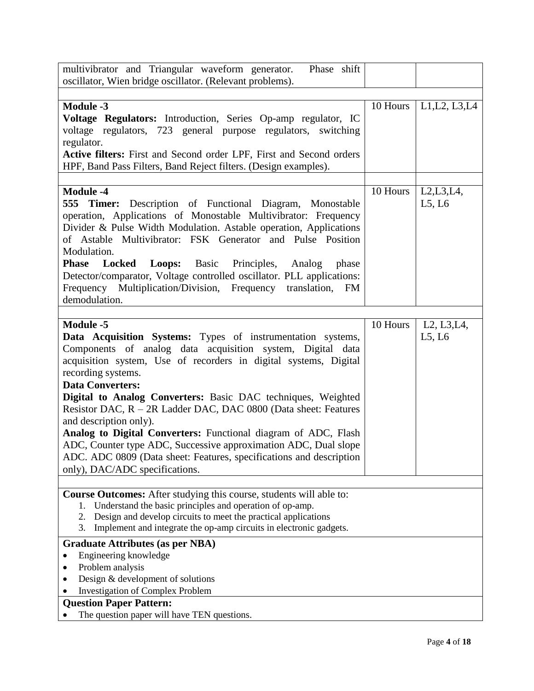| multivibrator and Triangular waveform generator.<br>Phase shift                                                                                                                                                                                                                                                                                                                                                                                                                                                                                                                                                                                                               |          |                       |
|-------------------------------------------------------------------------------------------------------------------------------------------------------------------------------------------------------------------------------------------------------------------------------------------------------------------------------------------------------------------------------------------------------------------------------------------------------------------------------------------------------------------------------------------------------------------------------------------------------------------------------------------------------------------------------|----------|-----------------------|
| oscillator, Wien bridge oscillator. (Relevant problems).                                                                                                                                                                                                                                                                                                                                                                                                                                                                                                                                                                                                                      |          |                       |
|                                                                                                                                                                                                                                                                                                                                                                                                                                                                                                                                                                                                                                                                               |          |                       |
| <b>Module -3</b><br>Voltage Regulators: Introduction, Series Op-amp regulator, IC<br>voltage regulators, 723 general purpose regulators, switching<br>regulator.<br>Active filters: First and Second order LPF, First and Second orders                                                                                                                                                                                                                                                                                                                                                                                                                                       | 10 Hours | L1, L2, L3, L4        |
| HPF, Band Pass Filters, Band Reject filters. (Design examples).                                                                                                                                                                                                                                                                                                                                                                                                                                                                                                                                                                                                               |          |                       |
| <b>Module -4</b><br><b>555 Timer:</b> Description of Functional Diagram, Monostable<br>operation, Applications of Monostable Multivibrator: Frequency<br>Divider & Pulse Width Modulation. Astable operation, Applications<br>of Astable Multivibrator: FSK Generator and Pulse Position<br>Modulation.<br><b>Phase</b><br><b>Locked</b><br>Loops:<br>Basic Principles,<br>Analog<br>phase<br>Detector/comparator, Voltage controlled oscillator. PLL applications:<br>Frequency Multiplication/Division, Frequency translation, FM<br>demodulation.                                                                                                                          | 10 Hours | L2, L3, L4,<br>L5, L6 |
| <b>Module -5</b><br>Data Acquisition Systems: Types of instrumentation systems,<br>Components of analog data acquisition system, Digital data<br>acquisition system, Use of recorders in digital systems, Digital<br>recording systems.<br><b>Data Converters:</b><br>Digital to Analog Converters: Basic DAC techniques, Weighted<br>Resistor DAC, R – 2R Ladder DAC, DAC 0800 (Data sheet: Features<br>and description only).<br>Analog to Digital Converters: Functional diagram of ADC, Flash<br>ADC, Counter type ADC, Successive approximation ADC, Dual slope<br>ADC. ADC 0809 (Data sheet: Features, specifications and description<br>only), DAC/ADC specifications. | 10 Hours | L2, L3, L4,<br>L5, L6 |
| <b>Course Outcomes:</b> After studying this course, students will able to:<br>1. Understand the basic principles and operation of op-amp.<br>Design and develop circuits to meet the practical applications<br>2.<br>Implement and integrate the op-amp circuits in electronic gadgets.<br>3.                                                                                                                                                                                                                                                                                                                                                                                 |          |                       |
| <b>Graduate Attributes (as per NBA)</b>                                                                                                                                                                                                                                                                                                                                                                                                                                                                                                                                                                                                                                       |          |                       |
| Engineering knowledge                                                                                                                                                                                                                                                                                                                                                                                                                                                                                                                                                                                                                                                         |          |                       |
| Problem analysis                                                                                                                                                                                                                                                                                                                                                                                                                                                                                                                                                                                                                                                              |          |                       |
| Design & development of solutions<br><b>Investigation of Complex Problem</b>                                                                                                                                                                                                                                                                                                                                                                                                                                                                                                                                                                                                  |          |                       |
| <b>Question Paper Pattern:</b>                                                                                                                                                                                                                                                                                                                                                                                                                                                                                                                                                                                                                                                |          |                       |
| The question paper will have TEN questions.                                                                                                                                                                                                                                                                                                                                                                                                                                                                                                                                                                                                                                   |          |                       |
|                                                                                                                                                                                                                                                                                                                                                                                                                                                                                                                                                                                                                                                                               |          |                       |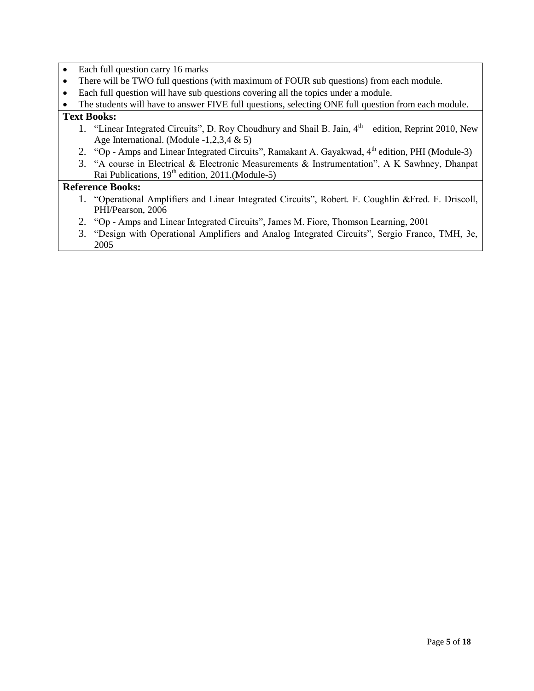- Each full question carry 16 marks
- There will be TWO full questions (with maximum of FOUR sub questions) from each module.
- Each full question will have sub questions covering all the topics under a module.

• The students will have to answer FIVE full questions, selecting ONE full question from each module.

#### **Text Books:**

- 1. "Linear Integrated Circuits", D. Roy Choudhury and Shail B. Jain, 4<sup>th</sup> edition, Reprint 2010, New Age International. (Module -1,2,3,4 & 5)
- 2. "Op Amps and Linear Integrated Circuits", Ramakant A. Gayakwad, 4<sup>th</sup> edition, PHI (Module-3)
- 3. "A course in Electrical & Electronic Measurements & Instrumentation", A K Sawhney, Dhanpat Rai Publications,  $19<sup>th</sup>$  edition, 2011.(Module-5)

- 1. "Operational Amplifiers and Linear Integrated Circuits", Robert. F. Coughlin &Fred. F. Driscoll, PHI/Pearson, 2006
- 2. "Op Amps and Linear Integrated Circuits", James M. Fiore, Thomson Learning, 2001
- 3. "Design with Operational Amplifiers and Analog Integrated Circuits", Sergio Franco, TMH, 3e, 2005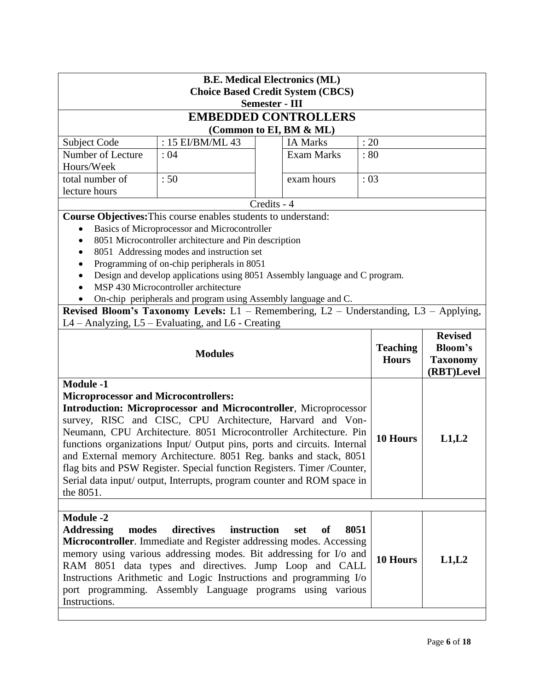|                                                                                                                                                                                                                                                                                                                                                                                                                                                                                                                                                                                                  | <b>B.E. Medical Electronics (ML)</b>                                                                   |             |                                 |                                                 |  |                |
|--------------------------------------------------------------------------------------------------------------------------------------------------------------------------------------------------------------------------------------------------------------------------------------------------------------------------------------------------------------------------------------------------------------------------------------------------------------------------------------------------------------------------------------------------------------------------------------------------|--------------------------------------------------------------------------------------------------------|-------------|---------------------------------|-------------------------------------------------|--|----------------|
|                                                                                                                                                                                                                                                                                                                                                                                                                                                                                                                                                                                                  | <b>Choice Based Credit System (CBCS)</b><br><b>Semester - III</b>                                      |             |                                 |                                                 |  |                |
|                                                                                                                                                                                                                                                                                                                                                                                                                                                                                                                                                                                                  |                                                                                                        |             | <b>EMBEDDED CONTROLLERS</b>     |                                                 |  |                |
|                                                                                                                                                                                                                                                                                                                                                                                                                                                                                                                                                                                                  |                                                                                                        |             | (Common to EI, BM & ML)         |                                                 |  |                |
| Subject Code                                                                                                                                                                                                                                                                                                                                                                                                                                                                                                                                                                                     | : 15 EI/BM/ML 43                                                                                       |             | <b>IA Marks</b>                 | : 20                                            |  |                |
| Number of Lecture                                                                                                                                                                                                                                                                                                                                                                                                                                                                                                                                                                                | :04                                                                                                    |             | <b>Exam Marks</b>               | :80                                             |  |                |
| Hours/Week                                                                                                                                                                                                                                                                                                                                                                                                                                                                                                                                                                                       |                                                                                                        |             |                                 |                                                 |  |                |
| total number of<br>lecture hours                                                                                                                                                                                                                                                                                                                                                                                                                                                                                                                                                                 | :50                                                                                                    |             | exam hours                      | :03                                             |  |                |
|                                                                                                                                                                                                                                                                                                                                                                                                                                                                                                                                                                                                  |                                                                                                        | Credits - 4 |                                 |                                                 |  |                |
|                                                                                                                                                                                                                                                                                                                                                                                                                                                                                                                                                                                                  | Course Objectives: This course enables students to understand:                                         |             |                                 |                                                 |  |                |
|                                                                                                                                                                                                                                                                                                                                                                                                                                                                                                                                                                                                  | Basics of Microprocessor and Microcontroller                                                           |             |                                 |                                                 |  |                |
|                                                                                                                                                                                                                                                                                                                                                                                                                                                                                                                                                                                                  | 8051 Microcontroller architecture and Pin description                                                  |             |                                 |                                                 |  |                |
| $\bullet$                                                                                                                                                                                                                                                                                                                                                                                                                                                                                                                                                                                        | 8051 Addressing modes and instruction set                                                              |             |                                 |                                                 |  |                |
|                                                                                                                                                                                                                                                                                                                                                                                                                                                                                                                                                                                                  | Programming of on-chip peripherals in 8051                                                             |             |                                 |                                                 |  |                |
|                                                                                                                                                                                                                                                                                                                                                                                                                                                                                                                                                                                                  | Design and develop applications using 8051 Assembly language and C program.                            |             |                                 |                                                 |  |                |
|                                                                                                                                                                                                                                                                                                                                                                                                                                                                                                                                                                                                  | MSP 430 Microcontroller architecture<br>On-chip peripherals and program using Assembly language and C. |             |                                 |                                                 |  |                |
|                                                                                                                                                                                                                                                                                                                                                                                                                                                                                                                                                                                                  | Revised Bloom's Taxonomy Levels: L1 - Remembering, L2 - Understanding, L3 - Applying,                  |             |                                 |                                                 |  |                |
|                                                                                                                                                                                                                                                                                                                                                                                                                                                                                                                                                                                                  | L4 – Analyzing, L5 – Evaluating, and L6 - Creating                                                     |             |                                 |                                                 |  |                |
|                                                                                                                                                                                                                                                                                                                                                                                                                                                                                                                                                                                                  |                                                                                                        |             |                                 |                                                 |  | <b>Revised</b> |
| <b>Modules</b>                                                                                                                                                                                                                                                                                                                                                                                                                                                                                                                                                                                   |                                                                                                        |             | <b>Teaching</b><br><b>Hours</b> | <b>Bloom's</b><br><b>Taxonomy</b><br>(RBT)Level |  |                |
| <b>Module -1</b><br><b>Microprocessor and Microcontrollers:</b><br><b>Introduction: Microprocessor and Microcontroller, Microprocessor</b><br>survey, RISC and CISC, CPU Architecture, Harvard and Von-<br>Neumann, CPU Architecture. 8051 Microcontroller Architecture. Pin<br>functions organizations Input/ Output pins, ports and circuits. Internal<br>and External memory Architecture. 8051 Reg. banks and stack, 8051<br>flag bits and PSW Register. Special function Registers. Timer /Counter,<br>Serial data input/ output, Interrupts, program counter and ROM space in<br>the 8051. |                                                                                                        |             | 10 Hours                        | L1,L2                                           |  |                |
| <b>Module -2</b><br>directives<br><b>Addressing</b><br>modes<br>instruction<br>8051<br>set<br>of<br>Microcontroller. Immediate and Register addressing modes. Accessing<br>memory using various addressing modes. Bit addressing for I/o and<br>RAM 8051 data types and directives. Jump Loop and CALL<br>Instructions Arithmetic and Logic Instructions and programming I/o<br>port programming. Assembly Language programs using various<br>Instructions.                                                                                                                                      |                                                                                                        |             | 10 Hours                        | L1,L2                                           |  |                |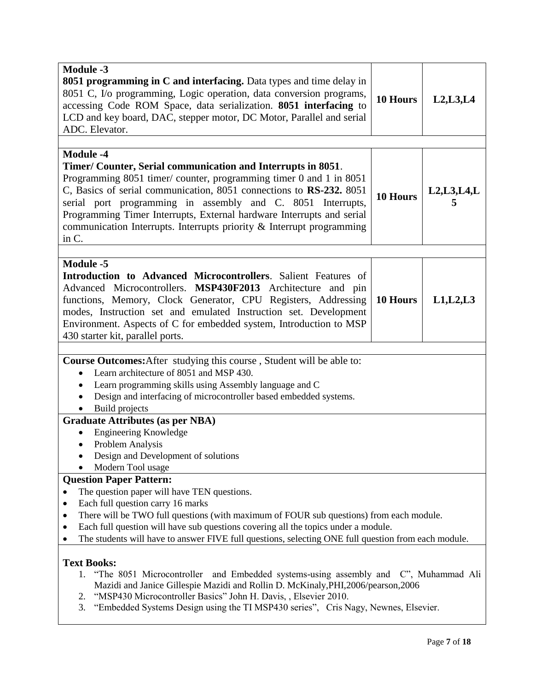| <b>Module -3</b><br><b>8051 programming in C and interfacing.</b> Data types and time delay in<br>8051 C, I/o programming, Logic operation, data conversion programs,<br>accessing Code ROM Space, data serialization. 8051 interfacing to<br>LCD and key board, DAC, stepper motor, DC Motor, Parallel and serial<br>ADC. Elevator.                                                                                                                                                                                                                                                                                                                                                                                                                                                                                | 10 Hours        | L2, L3, L4    |  |  |
|---------------------------------------------------------------------------------------------------------------------------------------------------------------------------------------------------------------------------------------------------------------------------------------------------------------------------------------------------------------------------------------------------------------------------------------------------------------------------------------------------------------------------------------------------------------------------------------------------------------------------------------------------------------------------------------------------------------------------------------------------------------------------------------------------------------------|-----------------|---------------|--|--|
| <b>Module -4</b><br>Timer/ Counter, Serial communication and Interrupts in 8051.<br>Programming 8051 timer/ counter, programming timer 0 and 1 in 8051<br>C, Basics of serial communication, 8051 connections to RS-232. 8051<br>serial port programming in assembly and C. 8051 Interrupts,<br>Programming Timer Interrupts, External hardware Interrupts and serial<br>communication Interrupts. Interrupts priority & Interrupt programming<br>in C.                                                                                                                                                                                                                                                                                                                                                             | <b>10 Hours</b> | L2, L3, L4, L |  |  |
| <b>Module -5</b><br>Introduction to Advanced Microcontrollers. Salient Features of<br>Advanced Microcontrollers. MSP430F2013 Architecture and pin<br>functions, Memory, Clock Generator, CPU Registers, Addressing<br>modes, Instruction set and emulated Instruction set. Development<br>Environment. Aspects of C for embedded system, Introduction to MSP<br>430 starter kit, parallel ports.                                                                                                                                                                                                                                                                                                                                                                                                                    | 10 Hours        | L1, L2, L3    |  |  |
| Course Outcomes: After studying this course, Student will be able to:<br>Learn architecture of 8051 and MSP 430.<br>$\bullet$<br>Learn programming skills using Assembly language and C<br>Design and interfacing of microcontroller based embedded systems.<br>Build projects<br><b>Graduate Attributes (as per NBA)</b><br><b>Engineering Knowledge</b><br>Problem Analysis<br>$\bullet$<br>Design and Development of solutions                                                                                                                                                                                                                                                                                                                                                                                   |                 |               |  |  |
| Modern Tool usage<br><b>Question Paper Pattern:</b><br>The question paper will have TEN questions.<br>Each full question carry 16 marks<br>٠<br>There will be TWO full questions (with maximum of FOUR sub questions) from each module.<br>٠<br>Each full question will have sub questions covering all the topics under a module.<br>The students will have to answer FIVE full questions, selecting ONE full question from each module.<br><b>Text Books:</b><br>1. "The 8051 Microcontroller and Embedded systems-using assembly and C", Muhammad Ali<br>Mazidi and Janice Gillespie Mazidi and Rollin D. McKinaly, PHI, 2006/pearson, 2006<br>"MSP430 Microcontroller Basics" John H. Davis, , Elsevier 2010.<br>2.<br>"Embedded Systems Design using the TI MSP430 series", Cris Nagy, Newnes, Elsevier.<br>3. |                 |               |  |  |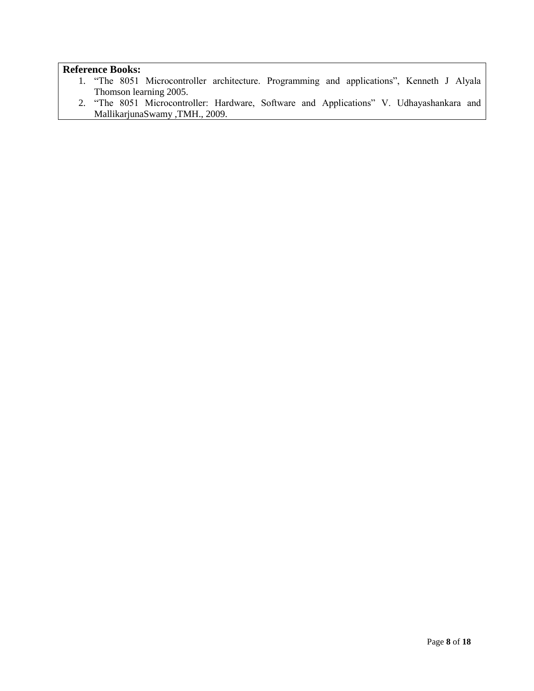- 1. "The 8051 Microcontroller architecture. Programming and applications", Kenneth J Alyala Thomson learning 2005.
- 2. "The 8051 Microcontroller: Hardware, Software and Applications" V. Udhayashankara and MallikarjunaSwamy ,TMH., 2009.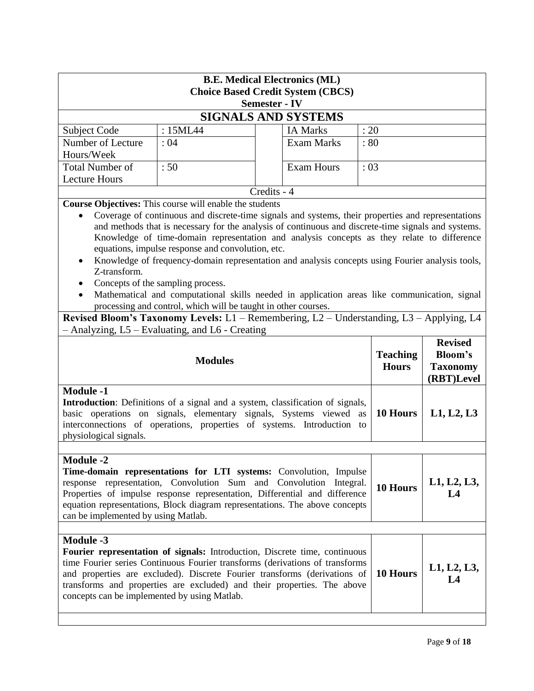| <b>B.E. Medical Electronics (ML)</b><br><b>Choice Based Credit System (CBCS)</b><br><b>Semester - IV</b>                                                                                                                                                                                                                                                                                                                                                                                                                                                                                                                                                                                                                                                                                                                                                    |                                  |             |                            |          |                                                                   |  |
|-------------------------------------------------------------------------------------------------------------------------------------------------------------------------------------------------------------------------------------------------------------------------------------------------------------------------------------------------------------------------------------------------------------------------------------------------------------------------------------------------------------------------------------------------------------------------------------------------------------------------------------------------------------------------------------------------------------------------------------------------------------------------------------------------------------------------------------------------------------|----------------------------------|-------------|----------------------------|----------|-------------------------------------------------------------------|--|
|                                                                                                                                                                                                                                                                                                                                                                                                                                                                                                                                                                                                                                                                                                                                                                                                                                                             |                                  |             | <b>SIGNALS AND SYSTEMS</b> |          |                                                                   |  |
| Subject Code                                                                                                                                                                                                                                                                                                                                                                                                                                                                                                                                                                                                                                                                                                                                                                                                                                                | : 15ML44                         |             | <b>IA Marks</b>            | : 20     |                                                                   |  |
| Number of Lecture<br>Hours/Week                                                                                                                                                                                                                                                                                                                                                                                                                                                                                                                                                                                                                                                                                                                                                                                                                             | <b>Exam Marks</b><br>:04<br>: 80 |             |                            |          |                                                                   |  |
| <b>Total Number of</b><br><b>Lecture Hours</b>                                                                                                                                                                                                                                                                                                                                                                                                                                                                                                                                                                                                                                                                                                                                                                                                              | :50                              |             | <b>Exam Hours</b>          | :03      |                                                                   |  |
|                                                                                                                                                                                                                                                                                                                                                                                                                                                                                                                                                                                                                                                                                                                                                                                                                                                             |                                  | Credits - 4 |                            |          |                                                                   |  |
| Course Objectives: This course will enable the students<br>Coverage of continuous and discrete-time signals and systems, their properties and representations<br>$\bullet$<br>and methods that is necessary for the analysis of continuous and discrete-time signals and systems.<br>Knowledge of time-domain representation and analysis concepts as they relate to difference<br>equations, impulse response and convolution, etc.<br>Knowledge of frequency-domain representation and analysis concepts using Fourier analysis tools,<br>Z-transform.<br>Concepts of the sampling process.<br>Mathematical and computational skills needed in application areas like communication, signal<br>processing and control, which will be taught in other courses.<br>Revised Bloom's Taxonomy Levels: L1 - Remembering, L2 - Understanding, L3 - Applying, L4 |                                  |             |                            |          |                                                                   |  |
| - Analyzing, L5 – Evaluating, and L6 - Creating<br><b>Teaching</b><br><b>Modules</b><br><b>Hours</b>                                                                                                                                                                                                                                                                                                                                                                                                                                                                                                                                                                                                                                                                                                                                                        |                                  |             |                            |          | <b>Revised</b><br><b>Bloom's</b><br><b>Taxonomy</b><br>(RBT)Level |  |
| <b>Module -1</b><br>Introduction: Definitions of a signal and a system, classification of signals,<br>basic operations on signals, elementary signals, Systems viewed<br>as<br>interconnections of operations, properties of systems. Introduction to<br>physiological signals.                                                                                                                                                                                                                                                                                                                                                                                                                                                                                                                                                                             |                                  |             |                            | 10 Hours | L1, L2, L3                                                        |  |
| <b>Module -2</b><br>Time-domain representations for LTI systems: Convolution, Impulse<br>response representation, Convolution Sum and Convolution Integral.<br>10 Hours<br>Properties of impulse response representation, Differential and difference<br>L4<br>equation representations, Block diagram representations. The above concepts<br>can be implemented by using Matlab.                                                                                                                                                                                                                                                                                                                                                                                                                                                                           |                                  |             |                            |          | L1, L2, L3,                                                       |  |
| <b>Module -3</b><br>Fourier representation of signals: Introduction, Discrete time, continuous<br>time Fourier series Continuous Fourier transforms (derivations of transforms<br>10 Hours<br>and properties are excluded). Discrete Fourier transforms (derivations of<br>$L_{\mathcal{A}}$<br>transforms and properties are excluded) and their properties. The above<br>concepts can be implemented by using Matlab.                                                                                                                                                                                                                                                                                                                                                                                                                                     |                                  |             |                            |          | L1, L2, L3,                                                       |  |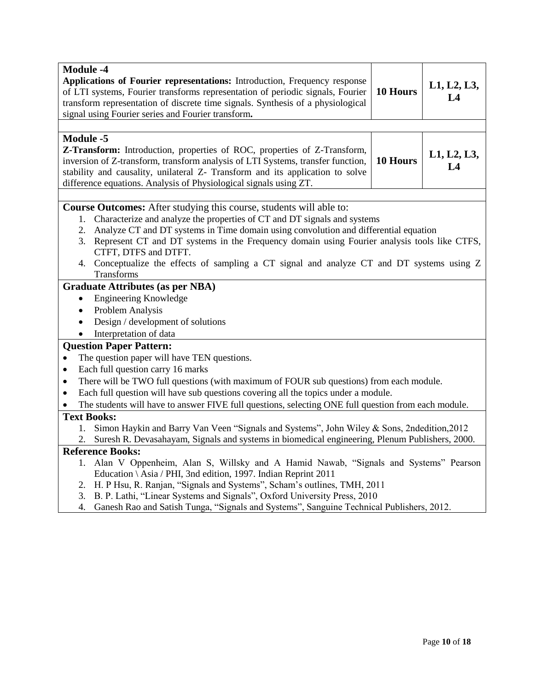| <b>Module -4</b><br>Applications of Fourier representations: Introduction, Frequency response<br>of LTI systems, Fourier transforms representation of periodic signals, Fourier<br>transform representation of discrete time signals. Synthesis of a physiological<br>signal using Fourier series and Fourier transform.                                                                                                                                                                            | 10 Hours | L1, L2, L3,<br>L4 |  |  |
|-----------------------------------------------------------------------------------------------------------------------------------------------------------------------------------------------------------------------------------------------------------------------------------------------------------------------------------------------------------------------------------------------------------------------------------------------------------------------------------------------------|----------|-------------------|--|--|
|                                                                                                                                                                                                                                                                                                                                                                                                                                                                                                     |          |                   |  |  |
| <b>Module -5</b><br>Z-Transform: Introduction, properties of ROC, properties of Z-Transform,<br>inversion of Z-transform, transform analysis of LTI Systems, transfer function,<br>stability and causality, unilateral Z- Transform and its application to solve<br>difference equations. Analysis of Physiological signals using ZT.                                                                                                                                                               | 10 Hours | L1, L2, L3,<br>L4 |  |  |
|                                                                                                                                                                                                                                                                                                                                                                                                                                                                                                     |          |                   |  |  |
| <b>Course Outcomes:</b> After studying this course, students will able to:<br>Characterize and analyze the properties of CT and DT signals and systems<br>1.<br>Analyze CT and DT systems in Time domain using convolution and differential equation<br>2.<br>Represent CT and DT systems in the Frequency domain using Fourier analysis tools like CTFS,<br>3.<br>CTFT, DTFS and DTFT.<br>4. Conceptualize the effects of sampling a CT signal and analyze CT and DT systems using Z<br>Transforms |          |                   |  |  |
| <b>Graduate Attributes (as per NBA)</b>                                                                                                                                                                                                                                                                                                                                                                                                                                                             |          |                   |  |  |
| <b>Engineering Knowledge</b><br>$\bullet$                                                                                                                                                                                                                                                                                                                                                                                                                                                           |          |                   |  |  |
| Problem Analysis<br>$\bullet$                                                                                                                                                                                                                                                                                                                                                                                                                                                                       |          |                   |  |  |
| Design / development of solutions<br>$\bullet$                                                                                                                                                                                                                                                                                                                                                                                                                                                      |          |                   |  |  |
| Interpretation of data                                                                                                                                                                                                                                                                                                                                                                                                                                                                              |          |                   |  |  |
| <b>Question Paper Pattern:</b>                                                                                                                                                                                                                                                                                                                                                                                                                                                                      |          |                   |  |  |
| The question paper will have TEN questions.<br>$\bullet$                                                                                                                                                                                                                                                                                                                                                                                                                                            |          |                   |  |  |
| Each full question carry 16 marks<br>$\bullet$                                                                                                                                                                                                                                                                                                                                                                                                                                                      |          |                   |  |  |
| There will be TWO full questions (with maximum of FOUR sub questions) from each module.<br>$\bullet$                                                                                                                                                                                                                                                                                                                                                                                                |          |                   |  |  |
| Each full question will have sub questions covering all the topics under a module.<br>$\bullet$                                                                                                                                                                                                                                                                                                                                                                                                     |          |                   |  |  |
| The students will have to answer FIVE full questions, selecting ONE full question from each module.                                                                                                                                                                                                                                                                                                                                                                                                 |          |                   |  |  |
| <b>Text Books:</b>                                                                                                                                                                                                                                                                                                                                                                                                                                                                                  |          |                   |  |  |
| Simon Haykin and Barry Van Veen "Signals and Systems", John Wiley & Sons, 2ndedition, 2012<br>1.<br>Suresh R. Devasahayam, Signals and systems in biomedical engineering, Plenum Publishers, 2000.<br>2.                                                                                                                                                                                                                                                                                            |          |                   |  |  |
| <b>Reference Books:</b>                                                                                                                                                                                                                                                                                                                                                                                                                                                                             |          |                   |  |  |
| 1. Alan V Oppenheim, Alan S, Willsky and A Hamid Nawab, "Signals and Systems" Pearson                                                                                                                                                                                                                                                                                                                                                                                                               |          |                   |  |  |
| Education \ Asia / PHI, 3nd edition, 1997. Indian Reprint 2011                                                                                                                                                                                                                                                                                                                                                                                                                                      |          |                   |  |  |
| H. P Hsu, R. Ranjan, "Signals and Systems", Scham's outlines, TMH, 2011<br>2.                                                                                                                                                                                                                                                                                                                                                                                                                       |          |                   |  |  |
| B. P. Lathi, "Linear Systems and Signals", Oxford University Press, 2010<br>3.                                                                                                                                                                                                                                                                                                                                                                                                                      |          |                   |  |  |
| Ganesh Rao and Satish Tunga, "Signals and Systems", Sanguine Technical Publishers, 2012.<br>4.                                                                                                                                                                                                                                                                                                                                                                                                      |          |                   |  |  |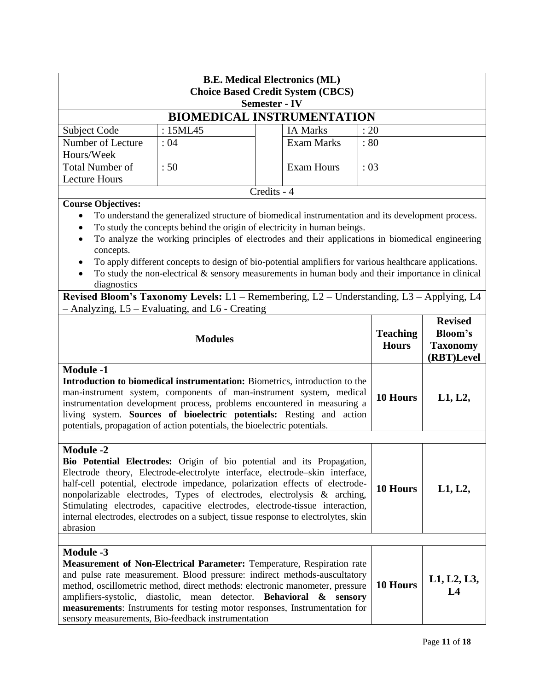| <b>B.E. Medical Electronics (ML)</b><br><b>Choice Based Credit System (CBCS)</b><br><b>Semester - IV</b>                                                                                                                                                                                                                                                                                                                                                                                                                             |                                                                                                                                                                                                                                                                                                                                                                                                                                                                                                     |             |                   |                                 |                                                                   |
|--------------------------------------------------------------------------------------------------------------------------------------------------------------------------------------------------------------------------------------------------------------------------------------------------------------------------------------------------------------------------------------------------------------------------------------------------------------------------------------------------------------------------------------|-----------------------------------------------------------------------------------------------------------------------------------------------------------------------------------------------------------------------------------------------------------------------------------------------------------------------------------------------------------------------------------------------------------------------------------------------------------------------------------------------------|-------------|-------------------|---------------------------------|-------------------------------------------------------------------|
|                                                                                                                                                                                                                                                                                                                                                                                                                                                                                                                                      | <b>BIOMEDICAL INSTRUMENTATION</b>                                                                                                                                                                                                                                                                                                                                                                                                                                                                   |             |                   |                                 |                                                                   |
| Subject Code                                                                                                                                                                                                                                                                                                                                                                                                                                                                                                                         | : 15ML45                                                                                                                                                                                                                                                                                                                                                                                                                                                                                            |             | <b>IA Marks</b>   | : 20                            |                                                                   |
| Number of Lecture<br>Hours/Week                                                                                                                                                                                                                                                                                                                                                                                                                                                                                                      | :04                                                                                                                                                                                                                                                                                                                                                                                                                                                                                                 |             | <b>Exam Marks</b> | : 80                            |                                                                   |
| <b>Total Number of</b><br><b>Lecture Hours</b>                                                                                                                                                                                                                                                                                                                                                                                                                                                                                       | :50                                                                                                                                                                                                                                                                                                                                                                                                                                                                                                 |             | <b>Exam Hours</b> | :03                             |                                                                   |
|                                                                                                                                                                                                                                                                                                                                                                                                                                                                                                                                      |                                                                                                                                                                                                                                                                                                                                                                                                                                                                                                     | Credits - 4 |                   |                                 |                                                                   |
| <b>Course Objectives:</b><br>$\bullet$<br>$\bullet$<br>concepts.<br>diagnostics<br>Revised Bloom's Taxonomy Levels: L1 - Remembering, L2 - Understanding, L3 - Applying, L4                                                                                                                                                                                                                                                                                                                                                          | To understand the generalized structure of biomedical instrumentation and its development process.<br>To study the concepts behind the origin of electricity in human beings.<br>To analyze the working principles of electrodes and their applications in biomedical engineering<br>To apply different concepts to design of bio-potential amplifiers for various healthcare applications.<br>To study the non-electrical $\&$ sensory measurements in human body and their importance in clinical |             |                   |                                 |                                                                   |
|                                                                                                                                                                                                                                                                                                                                                                                                                                                                                                                                      | - Analyzing, L5 - Evaluating, and L6 - Creating                                                                                                                                                                                                                                                                                                                                                                                                                                                     |             |                   |                                 |                                                                   |
|                                                                                                                                                                                                                                                                                                                                                                                                                                                                                                                                      | <b>Modules</b>                                                                                                                                                                                                                                                                                                                                                                                                                                                                                      |             |                   | <b>Teaching</b><br><b>Hours</b> | <b>Revised</b><br><b>Bloom's</b><br><b>Taxonomy</b><br>(RBT)Level |
| <b>Module -1</b><br>Introduction to biomedical instrumentation: Biometrics, introduction to the<br>man-instrument system, components of man-instrument system, medical<br>instrumentation development process, problems encountered in measuring a<br>living system. Sources of bioelectric potentials: Resting and action<br>potentials, propagation of action potentials, the bioelectric potentials.                                                                                                                              |                                                                                                                                                                                                                                                                                                                                                                                                                                                                                                     |             |                   | 10 Hours                        | L1, L2,                                                           |
|                                                                                                                                                                                                                                                                                                                                                                                                                                                                                                                                      |                                                                                                                                                                                                                                                                                                                                                                                                                                                                                                     |             |                   |                                 |                                                                   |
| <b>Module -2</b><br>Bio Potential Electrodes: Origin of bio potential and its Propagation,<br>Electrode theory, Electrode-electrolyte interface, electrode-skin interface,<br>half-cell potential, electrode impedance, polarization effects of electrode-<br>10 Hours<br>nonpolarizable electrodes, Types of electrodes, electrolysis & arching,<br>Stimulating electrodes, capacitive electrodes, electrode-tissue interaction,<br>internal electrodes, electrodes on a subject, tissue response to electrolytes, skin<br>abrasion |                                                                                                                                                                                                                                                                                                                                                                                                                                                                                                     |             |                   |                                 | L1, L2,                                                           |
|                                                                                                                                                                                                                                                                                                                                                                                                                                                                                                                                      |                                                                                                                                                                                                                                                                                                                                                                                                                                                                                                     |             |                   |                                 |                                                                   |
| <b>Module -3</b><br><b>Measurement of Non-Electrical Parameter:</b> Temperature, Respiration rate<br>and pulse rate measurement. Blood pressure: indirect methods-auscultatory<br>10 Hours<br>method, oscillometric method, direct methods: electronic manometer, pressure<br>amplifiers-systolic, diastolic, mean detector. Behavioral & sensory<br>measurements: Instruments for testing motor responses, Instrumentation for<br>sensory measurements, Bio-feedback instrumentation                                                |                                                                                                                                                                                                                                                                                                                                                                                                                                                                                                     |             |                   |                                 | L1, L2, L3,<br>L4                                                 |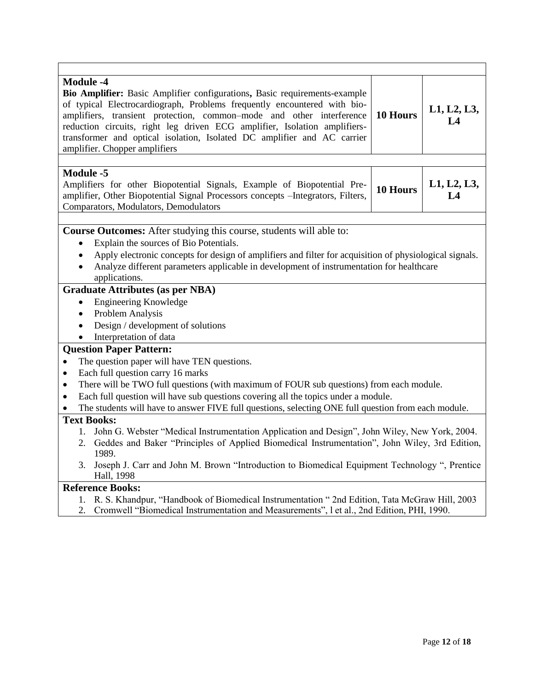| <b>Module -4</b><br>Bio Amplifier: Basic Amplifier configurations, Basic requirements-example<br>of typical Electrocardiograph, Problems frequently encountered with bio-<br>L1, L2, L3,<br>10 Hours<br>amplifiers, transient protection, common-mode and other interference<br>L4<br>reduction circuits, right leg driven ECG amplifier, Isolation amplifiers-<br>transformer and optical isolation, Isolated DC amplifier and AC carrier<br>amplifier. Chopper amplifiers |          |                   |  |  |
|-----------------------------------------------------------------------------------------------------------------------------------------------------------------------------------------------------------------------------------------------------------------------------------------------------------------------------------------------------------------------------------------------------------------------------------------------------------------------------|----------|-------------------|--|--|
|                                                                                                                                                                                                                                                                                                                                                                                                                                                                             |          |                   |  |  |
| <b>Module -5</b><br>Amplifiers for other Biopotential Signals, Example of Biopotential Pre-<br>amplifier, Other Biopotential Signal Processors concepts - Integrators, Filters,<br>Comparators, Modulators, Demodulators                                                                                                                                                                                                                                                    | 10 Hours | L1, L2, L3,<br>L4 |  |  |
|                                                                                                                                                                                                                                                                                                                                                                                                                                                                             |          |                   |  |  |
| Course Outcomes: After studying this course, students will able to:<br>Explain the sources of Bio Potentials.<br>Apply electronic concepts for design of amplifiers and filter for acquisition of physiological signals.<br>$\bullet$<br>Analyze different parameters applicable in development of instrumentation for healthcare<br>$\bullet$<br>applications.                                                                                                             |          |                   |  |  |
| <b>Graduate Attributes (as per NBA)</b>                                                                                                                                                                                                                                                                                                                                                                                                                                     |          |                   |  |  |
| Engineering Knowledge<br>$\bullet$                                                                                                                                                                                                                                                                                                                                                                                                                                          |          |                   |  |  |
| Problem Analysis<br>$\bullet$                                                                                                                                                                                                                                                                                                                                                                                                                                               |          |                   |  |  |
| Design / development of solutions<br>$\bullet$                                                                                                                                                                                                                                                                                                                                                                                                                              |          |                   |  |  |
| Interpretation of data<br>$\bullet$                                                                                                                                                                                                                                                                                                                                                                                                                                         |          |                   |  |  |
| <b>Question Paper Pattern:</b>                                                                                                                                                                                                                                                                                                                                                                                                                                              |          |                   |  |  |
| The question paper will have TEN questions.<br>$\bullet$                                                                                                                                                                                                                                                                                                                                                                                                                    |          |                   |  |  |
| Each full question carry 16 marks<br>$\bullet$                                                                                                                                                                                                                                                                                                                                                                                                                              |          |                   |  |  |
| There will be TWO full questions (with maximum of FOUR sub questions) from each module.<br>$\bullet$                                                                                                                                                                                                                                                                                                                                                                        |          |                   |  |  |
| Each full question will have sub questions covering all the topics under a module.<br>$\bullet$                                                                                                                                                                                                                                                                                                                                                                             |          |                   |  |  |
| The students will have to answer FIVE full questions, selecting ONE full question from each module.                                                                                                                                                                                                                                                                                                                                                                         |          |                   |  |  |
| <b>Text Books:</b>                                                                                                                                                                                                                                                                                                                                                                                                                                                          |          |                   |  |  |
| 1. John G. Webster "Medical Instrumentation Application and Design", John Wiley, New York, 2004.<br>2. Geddes and Baker "Principles of Applied Biomedical Instrumentation", John Wiley, 3rd Edition,<br>1989.<br>Joseph J. Carr and John M. Brown "Introduction to Biomedical Equipment Technology", Prentice<br>3.                                                                                                                                                         |          |                   |  |  |
| Hall, 1998                                                                                                                                                                                                                                                                                                                                                                                                                                                                  |          |                   |  |  |
| <b>Reference Books:</b>                                                                                                                                                                                                                                                                                                                                                                                                                                                     |          |                   |  |  |
| R. S. Khandpur, "Handbook of Biomedical Instrumentation " 2nd Edition, Tata McGraw Hill, 2003<br>1.<br>Cromwell "Biomedical Instrumentation and Measurements", 1 et al., 2nd Edition, PHI, 1990.<br>2.                                                                                                                                                                                                                                                                      |          |                   |  |  |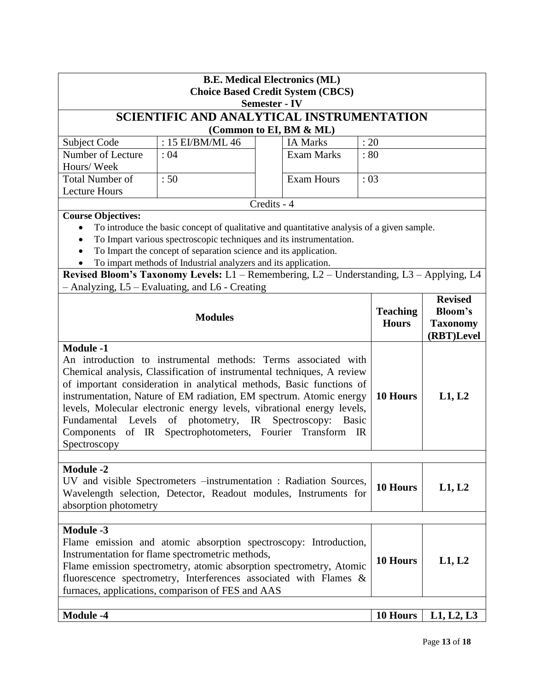| <b>B.E. Medical Electronics (ML)</b><br><b>Choice Based Credit System (CBCS)</b><br><b>Semester - IV</b>                                                                                                                                                                                                                                                                                                                                                                                                                                       |                                                                                                                                                                                                                                                                                                                                                                                                                                                        |             |                         |          |                                 |                                                                   |
|------------------------------------------------------------------------------------------------------------------------------------------------------------------------------------------------------------------------------------------------------------------------------------------------------------------------------------------------------------------------------------------------------------------------------------------------------------------------------------------------------------------------------------------------|--------------------------------------------------------------------------------------------------------------------------------------------------------------------------------------------------------------------------------------------------------------------------------------------------------------------------------------------------------------------------------------------------------------------------------------------------------|-------------|-------------------------|----------|---------------------------------|-------------------------------------------------------------------|
|                                                                                                                                                                                                                                                                                                                                                                                                                                                                                                                                                | SCIENTIFIC AND ANALYTICAL INSTRUMENTATION                                                                                                                                                                                                                                                                                                                                                                                                              |             |                         |          |                                 |                                                                   |
|                                                                                                                                                                                                                                                                                                                                                                                                                                                                                                                                                |                                                                                                                                                                                                                                                                                                                                                                                                                                                        |             | (Common to EI, BM & ML) |          |                                 |                                                                   |
| Subject Code                                                                                                                                                                                                                                                                                                                                                                                                                                                                                                                                   | : 15 EI/BM/ML 46                                                                                                                                                                                                                                                                                                                                                                                                                                       |             | <b>IA Marks</b>         | : 20     |                                 |                                                                   |
| Number of Lecture<br>Hours/Week                                                                                                                                                                                                                                                                                                                                                                                                                                                                                                                | : 04                                                                                                                                                                                                                                                                                                                                                                                                                                                   |             | <b>Exam Marks</b>       | :80      |                                 |                                                                   |
| <b>Total Number of</b><br><b>Lecture Hours</b>                                                                                                                                                                                                                                                                                                                                                                                                                                                                                                 | :50                                                                                                                                                                                                                                                                                                                                                                                                                                                    |             | <b>Exam Hours</b>       | : 03     |                                 |                                                                   |
|                                                                                                                                                                                                                                                                                                                                                                                                                                                                                                                                                |                                                                                                                                                                                                                                                                                                                                                                                                                                                        | Credits - 4 |                         |          |                                 |                                                                   |
| <b>Course Objectives:</b>                                                                                                                                                                                                                                                                                                                                                                                                                                                                                                                      | To introduce the basic concept of qualitative and quantitative analysis of a given sample.<br>To Impart various spectroscopic techniques and its instrumentation.<br>To Impart the concept of separation science and its application.<br>To impart methods of Industrial analyzers and its application.<br>Revised Bloom's Taxonomy Levels: L1 - Remembering, L2 - Understanding, L3 - Applying, L4<br>- Analyzing, L5 - Evaluating, and L6 - Creating |             |                         |          |                                 |                                                                   |
|                                                                                                                                                                                                                                                                                                                                                                                                                                                                                                                                                | <b>Modules</b>                                                                                                                                                                                                                                                                                                                                                                                                                                         |             |                         |          | <b>Teaching</b><br><b>Hours</b> | <b>Revised</b><br><b>Bloom's</b><br><b>Taxonomy</b><br>(RBT)Level |
| <b>Module -1</b><br>An introduction to instrumental methods: Terms associated with<br>Chemical analysis, Classification of instrumental techniques, A review<br>of important consideration in analytical methods, Basic functions of<br>instrumentation, Nature of EM radiation, EM spectrum. Atomic energy<br>levels, Molecular electronic energy levels, vibrational energy levels,<br>Fundamental Levels of photometry, IR Spectroscopy:<br><b>Basic</b><br>of IR Spectrophotometers, Fourier Transform<br>Components<br>IR<br>Spectroscopy |                                                                                                                                                                                                                                                                                                                                                                                                                                                        |             | 10 Hours                | L1, L2   |                                 |                                                                   |
| <b>Module -2</b><br>UV and visible Spectrometers -instrumentation : Radiation Sources,<br>Wavelength selection, Detector, Readout modules, Instruments for<br>absorption photometry                                                                                                                                                                                                                                                                                                                                                            |                                                                                                                                                                                                                                                                                                                                                                                                                                                        |             |                         | 10 Hours | L1, L2                          |                                                                   |
| <b>Module -3</b>                                                                                                                                                                                                                                                                                                                                                                                                                                                                                                                               | Flame emission and atomic absorption spectroscopy: Introduction,<br>Instrumentation for flame spectrometric methods,<br>Flame emission spectrometry, atomic absorption spectrometry, Atomic<br>fluorescence spectrometry, Interferences associated with Flames &<br>furnaces, applications, comparison of FES and AAS                                                                                                                                  |             |                         |          | 10 Hours                        | L1, L2                                                            |
| <b>Module -4</b>                                                                                                                                                                                                                                                                                                                                                                                                                                                                                                                               |                                                                                                                                                                                                                                                                                                                                                                                                                                                        |             |                         |          | 10 Hours                        | L1, L2, L3                                                        |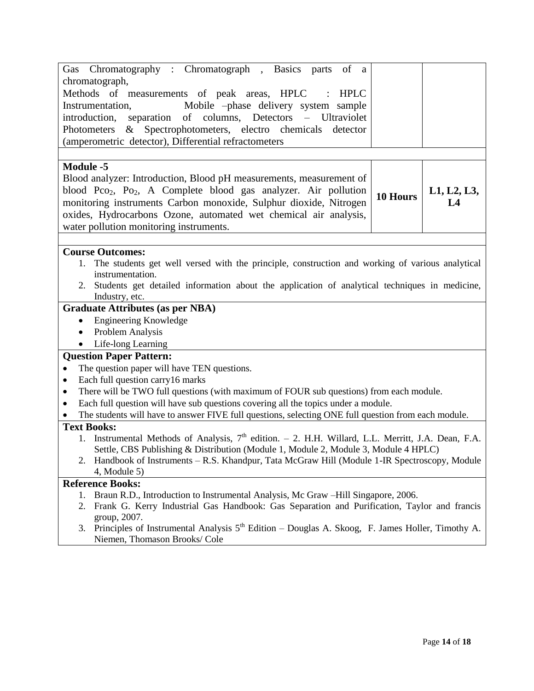| Gas Chromatography: Chromatograph, Basics parts of a                                                                 |          |             |
|----------------------------------------------------------------------------------------------------------------------|----------|-------------|
| chromatograph,                                                                                                       |          |             |
| Methods of measurements of peak areas, HPLC<br>HPLC                                                                  |          |             |
| Instrumentation,<br>Mobile -phase delivery system sample                                                             |          |             |
| introduction, separation of columns, Detectors - Ultraviolet                                                         |          |             |
| Photometers & Spectrophotometers, electro chemicals detector                                                         |          |             |
| (amperometric detector), Differential refractometers                                                                 |          |             |
|                                                                                                                      |          |             |
| <b>Module -5</b>                                                                                                     |          |             |
| Blood analyzer: Introduction, Blood pH measurements, measurement of                                                  |          |             |
| blood Pco <sub>2</sub> , Po <sub>2</sub> , A Complete blood gas analyzer. Air pollution                              |          | L1, L2, L3, |
| monitoring instruments Carbon monoxide, Sulphur dioxide, Nitrogen                                                    | 10 Hours | L4          |
| oxides, Hydrocarbons Ozone, automated wet chemical air analysis,                                                     |          |             |
| water pollution monitoring instruments.                                                                              |          |             |
|                                                                                                                      |          |             |
| <b>Course Outcomes:</b>                                                                                              |          |             |
| 1. The students get well versed with the principle, construction and working of various analytical                   |          |             |
| instrumentation.                                                                                                     |          |             |
| Students get detailed information about the application of analytical techniques in medicine,<br>2.                  |          |             |
| Industry, etc.                                                                                                       |          |             |
| <b>Graduate Attributes (as per NBA)</b>                                                                              |          |             |
| <b>Engineering Knowledge</b><br>$\bullet$                                                                            |          |             |
| Problem Analysis<br>$\bullet$                                                                                        |          |             |
| Life-long Learning                                                                                                   |          |             |
| <b>Question Paper Pattern:</b>                                                                                       |          |             |
| The question paper will have TEN questions.<br>$\bullet$                                                             |          |             |
| Each full question carry16 marks<br>$\bullet$                                                                        |          |             |
| There will be TWO full questions (with maximum of FOUR sub questions) from each module.<br>٠                         |          |             |
| Each full question will have sub questions covering all the topics under a module.<br>$\bullet$                      |          |             |
| The students will have to answer FIVE full questions, selecting ONE full question from each module.                  |          |             |
| <b>Text Books:</b>                                                                                                   |          |             |
| 1. Instrumental Methods of Analysis, 7 <sup>th</sup> edition. - 2. H.H. Willard, L.L. Merritt, J.A. Dean, F.A.       |          |             |
| Settle, CBS Publishing & Distribution (Module 1, Module 2, Module 3, Module 4 HPLC)                                  |          |             |
| 2. Handbook of Instruments – R.S. Khandpur, Tata McGraw Hill (Module 1-IR Spectroscopy, Module                       |          |             |
| $4$ , Module 5)                                                                                                      |          |             |
| <b>Reference Books:</b>                                                                                              |          |             |
| Braun R.D., Introduction to Instrumental Analysis, Mc Graw -Hill Singapore, 2006.<br>1.                              |          |             |
| Frank G. Kerry Industrial Gas Handbook: Gas Separation and Purification, Taylor and francis<br>2.                    |          |             |
| group, 2007.<br>3. Principles of Instrumental Analysis $5th$ Edition – Douglas A. Skoog, F. James Holler, Timothy A. |          |             |
| Niemen, Thomason Brooks/ Cole                                                                                        |          |             |
|                                                                                                                      |          |             |
|                                                                                                                      |          |             |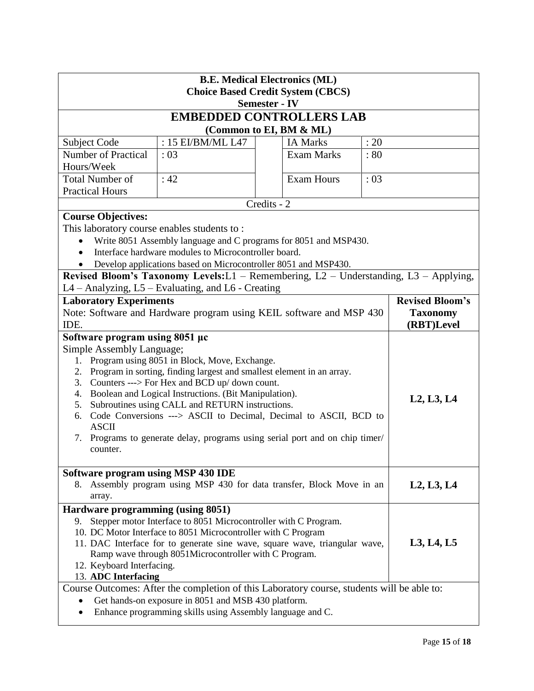| <b>B.E. Medical Electronics (ML)</b><br><b>Choice Based Credit System (CBCS)</b>                                                            |                                                                                            |  |                   |      |  |  |  |  |  |
|---------------------------------------------------------------------------------------------------------------------------------------------|--------------------------------------------------------------------------------------------|--|-------------------|------|--|--|--|--|--|
| <b>Semester - IV</b>                                                                                                                        |                                                                                            |  |                   |      |  |  |  |  |  |
| <b>EMBEDDED CONTROLLERS LAB</b>                                                                                                             |                                                                                            |  |                   |      |  |  |  |  |  |
| (Common to EI, BM & ML)                                                                                                                     |                                                                                            |  |                   |      |  |  |  |  |  |
| Subject Code                                                                                                                                | : 15 EI/BM/ML L47                                                                          |  | <b>IA Marks</b>   | : 20 |  |  |  |  |  |
| <b>Number of Practical</b>                                                                                                                  | $\div 03$                                                                                  |  | <b>Exam Marks</b> | :80  |  |  |  |  |  |
| Hours/Week                                                                                                                                  |                                                                                            |  |                   |      |  |  |  |  |  |
| <b>Total Number of</b>                                                                                                                      | :42                                                                                        |  | <b>Exam Hours</b> | : 03 |  |  |  |  |  |
| <b>Practical Hours</b>                                                                                                                      |                                                                                            |  |                   |      |  |  |  |  |  |
| Credits - 2                                                                                                                                 |                                                                                            |  |                   |      |  |  |  |  |  |
| <b>Course Objectives:</b>                                                                                                                   |                                                                                            |  |                   |      |  |  |  |  |  |
| This laboratory course enables students to:                                                                                                 |                                                                                            |  |                   |      |  |  |  |  |  |
| Write 8051 Assembly language and C programs for 8051 and MSP430.<br>Interface hardware modules to Microcontroller board.                    |                                                                                            |  |                   |      |  |  |  |  |  |
| Develop applications based on Microcontroller 8051 and MSP430.                                                                              |                                                                                            |  |                   |      |  |  |  |  |  |
| Revised Bloom's Taxonomy Levels:L1 - Remembering, L2 - Understanding, L3 - Applying,                                                        |                                                                                            |  |                   |      |  |  |  |  |  |
|                                                                                                                                             | L4 – Analyzing, L5 – Evaluating, and L6 - Creating                                         |  |                   |      |  |  |  |  |  |
| <b>Laboratory Experiments</b>                                                                                                               | <b>Revised Bloom's</b>                                                                     |  |                   |      |  |  |  |  |  |
| Note: Software and Hardware program using KEIL software and MSP 430<br>IDE.                                                                 | <b>Taxonomy</b><br>(RBT)Level                                                              |  |                   |      |  |  |  |  |  |
| Software program using 8051 µc                                                                                                              |                                                                                            |  |                   |      |  |  |  |  |  |
| Simple Assembly Language;                                                                                                                   |                                                                                            |  |                   |      |  |  |  |  |  |
| Program using 8051 in Block, Move, Exchange.<br>1.                                                                                          |                                                                                            |  |                   |      |  |  |  |  |  |
| Program in sorting, finding largest and smallest element in an array.<br>2.                                                                 |                                                                                            |  |                   |      |  |  |  |  |  |
| Counters ---> For Hex and BCD up/ down count.<br>3.<br>4. Boolean and Logical Instructions. (Bit Manipulation).                             |                                                                                            |  |                   |      |  |  |  |  |  |
| Subroutines using CALL and RETURN instructions.<br>5.                                                                                       | L2, L3, L4                                                                                 |  |                   |      |  |  |  |  |  |
| Code Conversions ---> ASCII to Decimal, Decimal to ASCII, BCD to<br>6.                                                                      |                                                                                            |  |                   |      |  |  |  |  |  |
| <b>ASCII</b>                                                                                                                                |                                                                                            |  |                   |      |  |  |  |  |  |
| Programs to generate delay, programs using serial port and on chip timer/<br>7.                                                             |                                                                                            |  |                   |      |  |  |  |  |  |
| counter.                                                                                                                                    |                                                                                            |  |                   |      |  |  |  |  |  |
| Software program using MSP 430 IDE                                                                                                          |                                                                                            |  |                   |      |  |  |  |  |  |
| Assembly program using MSP 430 for data transfer, Block Move in an<br>8.                                                                    | L2, L3, L4                                                                                 |  |                   |      |  |  |  |  |  |
| array.                                                                                                                                      |                                                                                            |  |                   |      |  |  |  |  |  |
| Hardware programming (using 8051)                                                                                                           |                                                                                            |  |                   |      |  |  |  |  |  |
| Stepper motor Interface to 8051 Microcontroller with C Program.<br>9.                                                                       |                                                                                            |  |                   |      |  |  |  |  |  |
| 10. DC Motor Interface to 8051 Microcontroller with C Program<br>11. DAC Interface for to generate sine wave, square wave, triangular wave, | L3, L4, L5                                                                                 |  |                   |      |  |  |  |  |  |
| Ramp wave through 8051Microcontroller with C Program.                                                                                       |                                                                                            |  |                   |      |  |  |  |  |  |
| 12. Keyboard Interfacing.                                                                                                                   |                                                                                            |  |                   |      |  |  |  |  |  |
| 13. ADC Interfacing                                                                                                                         |                                                                                            |  |                   |      |  |  |  |  |  |
|                                                                                                                                             | Course Outcomes: After the completion of this Laboratory course, students will be able to: |  |                   |      |  |  |  |  |  |
| Get hands-on exposure in 8051 and MSB 430 platform.                                                                                         |                                                                                            |  |                   |      |  |  |  |  |  |
| Enhance programming skills using Assembly language and C.                                                                                   |                                                                                            |  |                   |      |  |  |  |  |  |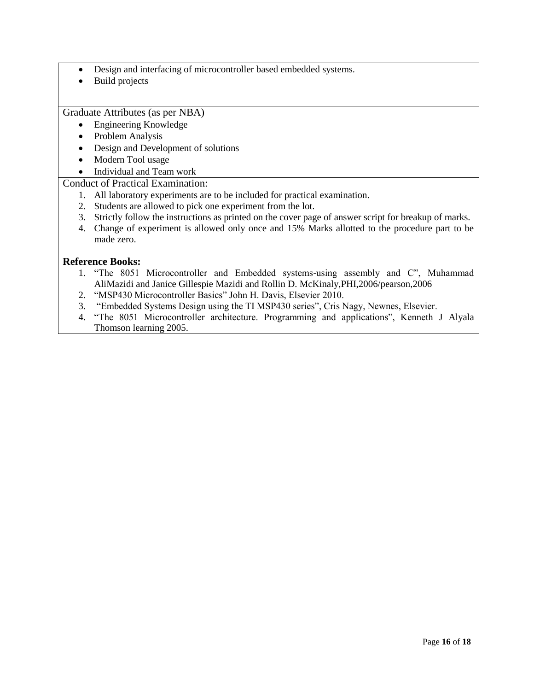- Design and interfacing of microcontroller based embedded systems.
- Build projects

Graduate Attributes (as per NBA)

- Engineering Knowledge
- Problem Analysis
- Design and Development of solutions
- Modern Tool usage
- Individual and Team work

#### Conduct of Practical Examination:

- 1. All laboratory experiments are to be included for practical examination.
- 2. Students are allowed to pick one experiment from the lot.
- 3. Strictly follow the instructions as printed on the cover page of answer script for breakup of marks.
- 4. Change of experiment is allowed only once and 15% Marks allotted to the procedure part to be made zero.

- 1. "The 8051 Microcontroller and Embedded systems-using assembly and C", Muhammad AliMazidi and Janice Gillespie Mazidi and Rollin D. McKinaly,PHI,2006/pearson,2006
- 2. "MSP430 Microcontroller Basics" John H. Davis, Elsevier 2010.
- 3. "Embedded Systems Design using the TI MSP430 series", Cris Nagy, Newnes, Elsevier.
- 4. "The 8051 Microcontroller architecture. Programming and applications", Kenneth J Alyala Thomson learning 2005.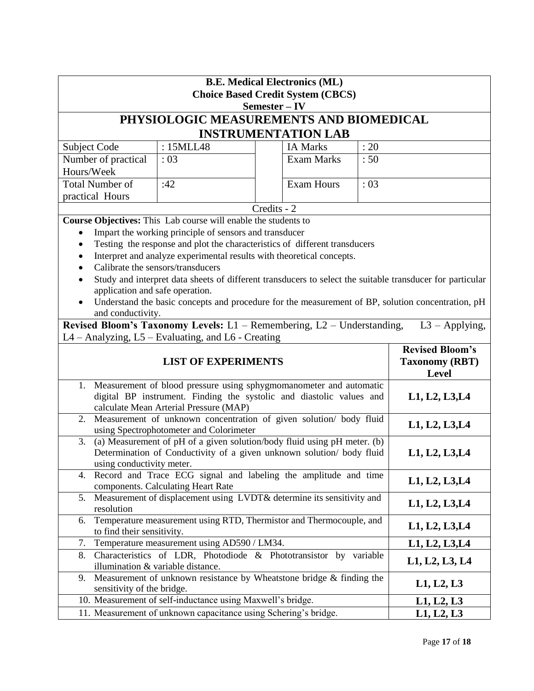| <b>B.E. Medical Electronics (ML)</b><br><b>Choice Based Credit System (CBCS)</b>                                                                                                     |                                                                         |                |                   |      |                |  |  |
|--------------------------------------------------------------------------------------------------------------------------------------------------------------------------------------|-------------------------------------------------------------------------|----------------|-------------------|------|----------------|--|--|
| Semester – IV                                                                                                                                                                        |                                                                         |                |                   |      |                |  |  |
| PHYSIOLOGIC MEASUREMENTS AND BIOMEDICAL                                                                                                                                              |                                                                         |                |                   |      |                |  |  |
| <b>INSTRUMENTATION LAB</b>                                                                                                                                                           |                                                                         |                |                   |      |                |  |  |
| Subject Code                                                                                                                                                                         | : 15MLL48                                                               |                | <b>IA Marks</b>   | : 20 |                |  |  |
| Number of practical                                                                                                                                                                  | : 03                                                                    |                | <b>Exam Marks</b> | :50  |                |  |  |
| Hours/Week                                                                                                                                                                           |                                                                         |                |                   |      |                |  |  |
| <b>Total Number of</b>                                                                                                                                                               | :42<br><b>Exam Hours</b><br>:03                                         |                |                   |      |                |  |  |
| practical Hours                                                                                                                                                                      |                                                                         |                |                   |      |                |  |  |
| Credits - 2                                                                                                                                                                          |                                                                         |                |                   |      |                |  |  |
|                                                                                                                                                                                      | Course Objectives: This Lab course will enable the students to          |                |                   |      |                |  |  |
| Impart the working principle of sensors and transducer                                                                                                                               |                                                                         |                |                   |      |                |  |  |
| Testing the response and plot the characteristics of different transducers                                                                                                           |                                                                         |                |                   |      |                |  |  |
| Interpret and analyze experimental results with theoretical concepts.<br>Calibrate the sensors/transducers                                                                           |                                                                         |                |                   |      |                |  |  |
|                                                                                                                                                                                      |                                                                         |                |                   |      |                |  |  |
| Study and interpret data sheets of different transducers to select the suitable transducer for particular                                                                            |                                                                         |                |                   |      |                |  |  |
| application and safe operation.<br>Understand the basic concepts and procedure for the measurement of BP, solution concentration, pH                                                 |                                                                         |                |                   |      |                |  |  |
| and conductivity.                                                                                                                                                                    |                                                                         |                |                   |      |                |  |  |
| Revised Bloom's Taxonomy Levels: $L1$ – Remembering, $L2$ – Understanding,<br>$L3 - Applying,$                                                                                       |                                                                         |                |                   |      |                |  |  |
| L4 - Analyzing, L5 - Evaluating, and L6 - Creating                                                                                                                                   |                                                                         |                |                   |      |                |  |  |
|                                                                                                                                                                                      | <b>Revised Bloom's</b><br><b>Taxonomy (RBT)</b><br><b>Level</b>         |                |                   |      |                |  |  |
| Measurement of blood pressure using sphygmomanometer and automatic<br>1.                                                                                                             |                                                                         |                |                   |      |                |  |  |
|                                                                                                                                                                                      | digital BP instrument. Finding the systolic and diastolic values and    |                |                   |      | L1, L2, L3, L4 |  |  |
| calculate Mean Arterial Pressure (MAP)                                                                                                                                               |                                                                         |                |                   |      |                |  |  |
|                                                                                                                                                                                      | 2. Measurement of unknown concentration of given solution/ body fluid   |                |                   |      |                |  |  |
| using Spectrophotometer and Colorimeter                                                                                                                                              | L1, L2, L3, L4                                                          |                |                   |      |                |  |  |
| (a) Measurement of pH of a given solution/body fluid using pH meter. (b)<br>3.<br>Determination of Conductivity of a given unknown solution/ body fluid<br>using conductivity meter. | L1, L2, L3, L4                                                          |                |                   |      |                |  |  |
| 4. Record and Trace ECG signal and labeling the amplitude and time<br>components. Calculating Heart Rate                                                                             |                                                                         | L1, L2, L3, L4 |                   |      |                |  |  |
| Measurement of displacement using LVDT& determine its sensitivity and<br>5.<br>resolution                                                                                            |                                                                         |                |                   |      | L1, L2, L3, L4 |  |  |
| Temperature measurement using RTD, Thermistor and Thermocouple, and<br>6.<br>to find their sensitivity.                                                                              |                                                                         |                |                   |      | L1, L2, L3, L4 |  |  |
| 7. Temperature measurement using AD590 / LM34.                                                                                                                                       |                                                                         |                | L1, L2, L3, L4    |      |                |  |  |
| 8. Characteristics of LDR, Photodiode & Phototransistor by variable<br>illumination & variable distance.                                                                             |                                                                         |                |                   |      |                |  |  |
|                                                                                                                                                                                      |                                                                         |                |                   |      | L1, L2, L3, L4 |  |  |
| 9.                                                                                                                                                                                   | Measurement of unknown resistance by Wheatstone bridge $\&$ finding the |                |                   |      | L1, L2, L3     |  |  |
| sensitivity of the bridge.                                                                                                                                                           | 10. Measurement of self-inductance using Maxwell's bridge.              |                |                   |      | L1, L2, L3     |  |  |